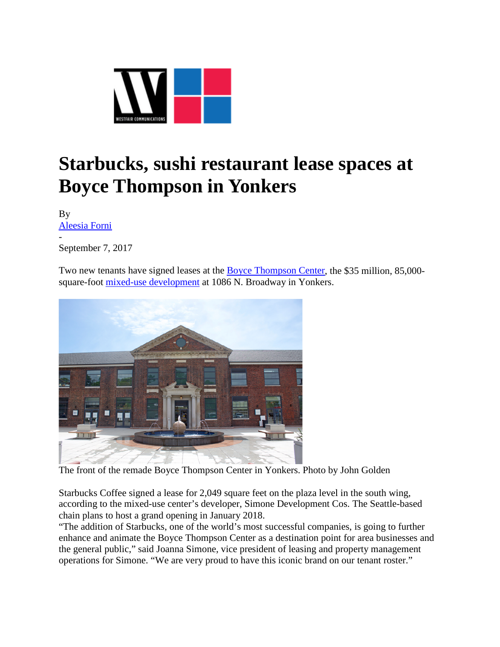

## **Starbucks, sushi restaurant lease spaces at Boyce Thompson in Yonkers**

By [Aleesia Forni](https://westfaironline.com/author/aleesia-j-forni/) -

September 7, 2017

Two new tenants have signed leases at the [Boyce Thompson Center,](https://westfaironline.com/82142/simone-development-nearing-completion-of-35-million-boyce-thompson-center-2/) the \$35 million, 85,000 square-foot [mixed-use development](https://westfaironline.com/89059/healthcare-retail-debut-in-remade-boyce-thompson-center-in-yonkers/) at 1086 N. Broadway in Yonkers.



The front of the remade Boyce Thompson Center in Yonkers. Photo by John Golden

Starbucks Coffee signed a lease for 2,049 square feet on the plaza level in the south wing, according to the mixed-use center's developer, Simone Development Cos. The Seattle-based chain plans to host a grand opening in January 2018.

"The addition of Starbucks, one of the world's most successful companies, is going to further enhance and animate the Boyce Thompson Center as a destination point for area businesses and the general public," said Joanna Simone, vice president of leasing and property management operations for Simone. "We are very proud to have this iconic brand on our tenant roster."